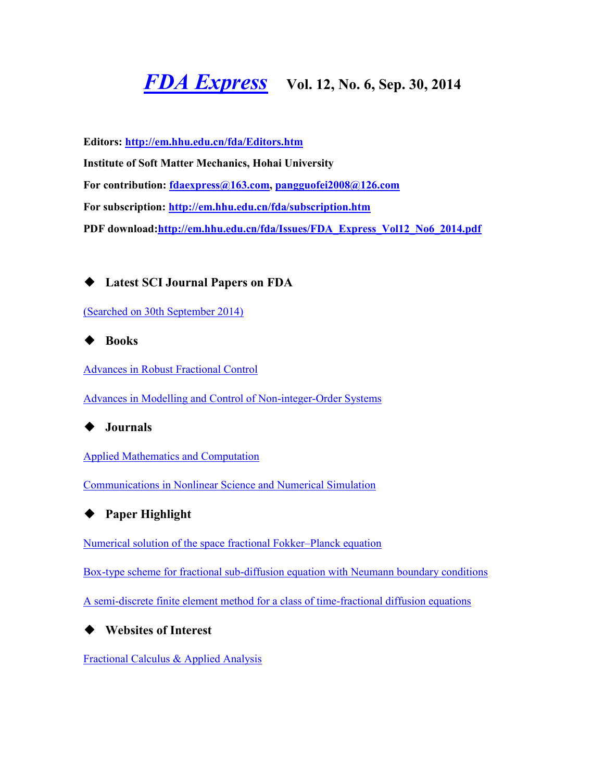# *[FDA Express](http://em.hhu.edu.cn/fda/index.htm)* **Vol. 12, No. 6, Sep. 30, 2014**

**Editors:<http://em.hhu.edu.cn/fda/Editors.htm> Institute of Soft Matter Mechanics, Hohai University For contribution: [fdaexpress@163.com,](mailto:fdaexpress@163.com) [pangguofei2008@126.com](mailto:fdaexpress@hhu.edu.cn) For subscription:<http://em.hhu.edu.cn/fda/subscription.htm> PDF download[:http://em.hhu.edu.cn/fda/Issues/FDA\\_Express\\_Vol12\\_No6\\_2014.pdf](http://em.hhu.edu.cn/fda/Issues/FDA_Express_Vol12_No6_2014.pdf)**

◆ **Latest SCI Journal Papers on FDA**

[\(Searched on 30th September 2014\)](file:///C:/Users/Administrator/AppData/Local/Microsoft/Windows/Temporary%20Internet%20Files/FrontPageTempDir/pvw2.htm%23(Searched%20on%2030%20September%202013))

◆ **Books**

[Advances in Robust Fractional Control](file:///C:/Users/Administrator/AppData/Local/Microsoft/Windows/Temporary%20Internet%20Files/FrontPageTempDir/pvw2.htm%23Advances%20in%20Robust%20Fractional%20Control)

[Advances in Modelling and Control of Non-integer-Order Systems](file:///C:/Users/Administrator/AppData/Local/Microsoft/Windows/Temporary%20Internet%20Files/FrontPageTempDir/pvw2.htm%23Advances%20in%20Modelling%20and%20Control%20of%20Non-integer-Order%20Systems)

# ◆ **Journals**

[Applied Mathematics and Computation](file:///C:/Users/Administrator/AppData/Local/Microsoft/Windows/Temporary%20Internet%20Files/FrontPageTempDir/pvw2.htm%23Applied%20Mathematics%20and%20Computation)

[Communications in Nonlinear Science and Numerical Simulation](file:///C:/Users/Administrator/AppData/Local/Microsoft/Windows/Temporary%20Internet%20Files/FrontPageTempDir/pvw2.htm%23Communications%20in%20Nonlinear%20Science%20and%20Numerical%20Simulation)



[Numerical solution of the space](file:///C:/Users/Administrator/AppData/Local/Microsoft/Windows/Temporary%20Internet%20Files/FrontPageTempDir/pvw2.htm%23Numerical%20solution%20of%20the%20space%20fractional%20Fokker–Planck%20equation) fractional Fokker–Planck equation

[Box-type scheme for fractional sub-diffusion equation with Neumann boundary conditions](file:///C:/Users/Administrator/AppData/Local/Microsoft/Windows/Temporary%20Internet%20Files/FrontPageTempDir/pvw2.htm%23Box-type%20scheme%20for%20fractional%20sub-diffusion%20equation%20with%20Neumann%20boundary%20conditions)

[A semi-discrete finite element method for a class of time-fractional diffusion equations](file:///C:/Users/Administrator/AppData/Local/Microsoft/Windows/Temporary%20Internet%20Files/FrontPageTempDir/pvw2.htm%23A%20semi-discrete%20finite%20element%20method%20for%20a%20class%20of%20time-fractional%20diffusion%20equations)

# ◆ **Websites of Interest**

[Fractional Calculus & Applied Analysis](http://link.springer.com/journal/13540)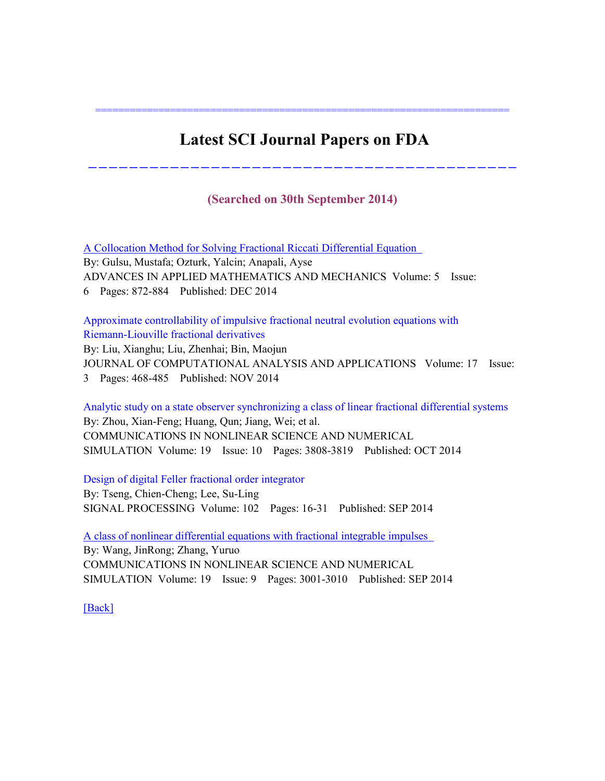# **Latest SCI Journal Papers on FDA**

========================================================================

### **(Searched on 30th September 2014)**

------------------------------------------

[A Collocation Method for Solving Fractional Riccati](http://apps.webofknowledge.com/full_record.do?product=UA&search_mode=MarkedList&qid=10&SID=W1Xom58nFVYjhNxxJxF&page=1&doc=1&colName=WOS) Differential Equation By: Gulsu, Mustafa; Ozturk, Yalcin; Anapali, Ayse ADVANCES IN APPLIED MATHEMATICS AND MECHANICS Volume: 5 Issue: 6 Pages: 872-884 Published: DEC 2014

[Approximate controllability of impulsive fractional neutral evolution equations with](https://apps.webofknowledge.com/full_record.do?product=WOS&search_mode=MarkedList&qid=4&SID=Z1hGhmbjLRTWU3dKSs5&page=1&doc=1&colName=WOS)  [Riemann-Liouville fractional derivatives](https://apps.webofknowledge.com/full_record.do?product=WOS&search_mode=MarkedList&qid=4&SID=Z1hGhmbjLRTWU3dKSs5&page=1&doc=1&colName=WOS) 

By: Liu, Xianghu; Liu, Zhenhai; Bin, Maojun JOURNAL OF COMPUTATIONAL ANALYSIS AND APPLICATIONS Volume: 17 Issue: 3 Pages: 468-485 Published: NOV 2014

[Analytic study on a state observer synchronizing a class of linear fractional differential systems](http://apps.webofknowledge.com/full_record.do?product=UA&search_mode=MarkedList&qid=9&SID=4DzAyhVOlnbU4j3pKuL&page=1&doc=4&colName=WOS)  By: Zhou, Xian-Feng; Huang, Qun; Jiang, Wei; et al. COMMUNICATIONS IN NONLINEAR SCIENCE AND NUMERICAL SIMULATION Volume: 19 Issue: 10 Pages: 3808-3819 Published: OCT 2014

[Design of digital Feller fractional order integrator](https://apps.webofknowledge.com/full_record.do?product=UA&search_mode=MarkedList&qid=13&SID=T2LZEzjgHkLmrXT6xm8&page=1&doc=4&colName=WOS) 

By: Tseng, Chien-Cheng; Lee, Su-Ling SIGNAL PROCESSING Volume: 102 Pages: 16-31 Published: SEP 2014

[A class of nonlinear differential equations with fractional integrable impulses](http://apps.webofknowledge.com/full_record.do?product=UA&search_mode=MarkedList&qid=6&SID=Q1RWDMbjuLyD2OlpR43&page=1&doc=4&colName=WOS)  By: Wang, JinRong; Zhang, Yuruo COMMUNICATIONS IN NONLINEAR SCIENCE AND NUMERICAL SIMULATION Volume: 19 Issue: 9 Pages: 3001-3010 Published: SEP 2014

[\[Back\]](file:///C:/Users/Administrator/AppData/Local/Microsoft/Windows/Temporary%20Internet%20Files/FrontPageTempDir/pvw2.htm%231)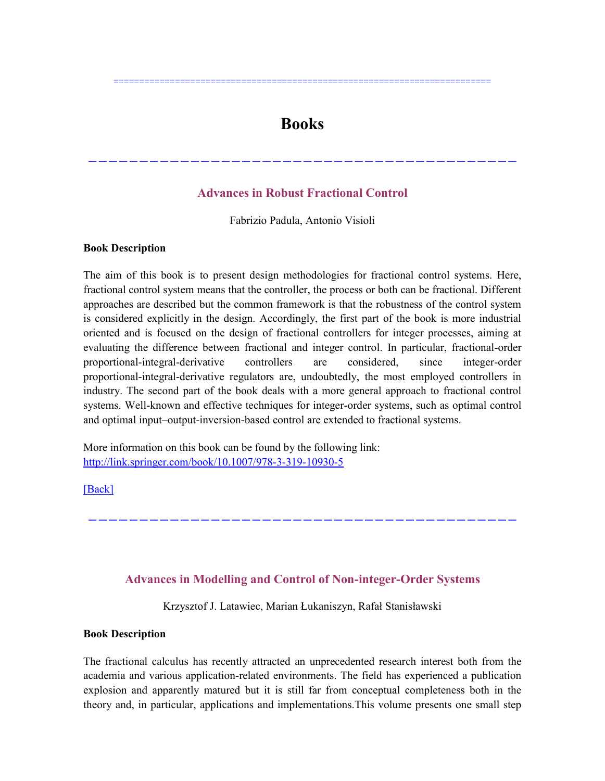# **Books**

==========================================================================

## **Advances in Robust Fractional Control**

------------------------------------------

Fabrizio Padula, Antonio Visioli

#### **Book Description**

The aim of this book is to present design methodologies for fractional control systems. Here, fractional control system means that the controller, the process or both can be fractional. Different approaches are described but the common framework is that the robustness of the control system is considered explicitly in the design. Accordingly, the first part of the book is more industrial oriented and is focused on the design of fractional controllers for integer processes, aiming at evaluating the difference between fractional and integer control. In particular, fractional-order proportional-integral-derivative controllers are considered, since integer-order proportional-integral-derivative regulators are, undoubtedly, the most employed controllers in industry. The second part of the book deals with a more general approach to fractional control systems. Well-known and effective techniques for integer-order systems, such as optimal control and optimal input–output-inversion-based control are extended to fractional systems.

More information on this book can be found by the following link: <http://link.springer.com/book/10.1007/978-3-319-10930-5>

[\[Back\]](file:///C:/Users/Administrator/AppData/Local/Microsoft/Windows/Temporary%20Internet%20Files/FrontPageTempDir/pvw2.htm%231)

### **Advances in Modelling and Control of Non-integer-Order Systems**

------------------------------------------

Krzysztof J. Latawiec, Marian Łukaniszyn, Rafał Stanisławski

#### **Book Description**

The fractional calculus has recently attracted an unprecedented research interest both from the academia and various application-related environments. The field has experienced a publication explosion and apparently matured but it is still far from conceptual completeness both in the theory and, in particular, applications and implementations.This volume presents one small step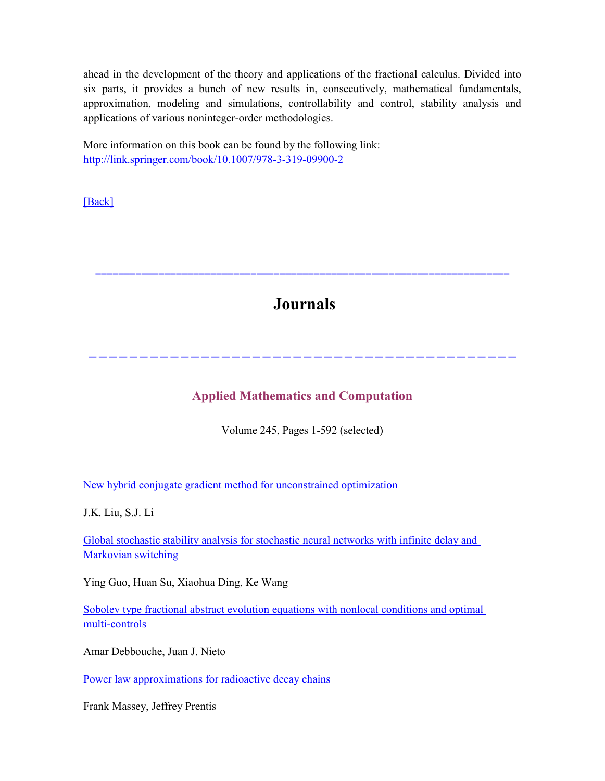ahead in the development of the theory and applications of the fractional calculus. Divided into six parts, it provides a bunch of new results in, consecutively, mathematical fundamentals, approximation, modeling and simulations, controllability and control, stability analysis and applications of various noninteger-order methodologies.

More information on this book can be found by the following link: <http://link.springer.com/book/10.1007/978-3-319-09900-2>

[\[Back\]](file:///C:/Users/Administrator/AppData/Local/Microsoft/Windows/Temporary%20Internet%20Files/FrontPageTempDir/pvw2.htm%231)

**Journals**

========================================================================

# **Applied Mathematics and Computation**

------------------------------------------

Volume 245, Pages 1-592 (selected)

[New hybrid conjugate gradient method for unconstrained optimization](http://www.sciencedirect.com/science/article/pii/S0096300314010637)

J.K. Liu, S.J. Li

[Global stochastic stability analysis for stochastic neural networks with infinite delay and](http://www.sciencedirect.com/science/article/pii/S0096300314009382)  [Markovian switching](http://www.sciencedirect.com/science/article/pii/S0096300314009382)

Ying Guo, Huan Su, Xiaohua Ding, Ke Wang

Sobolev type fractional abstract evolution equations with nonlocal conditions and optimal [multi-controls](http://www.sciencedirect.com/science/article/pii/S0096300314010303)

Amar Debbouche, Juan J. Nieto

[Power law approximations for radioactive decay chains](http://www.sciencedirect.com/science/article/pii/S0096300314010054)

Frank Massey, Jeffrey Prentis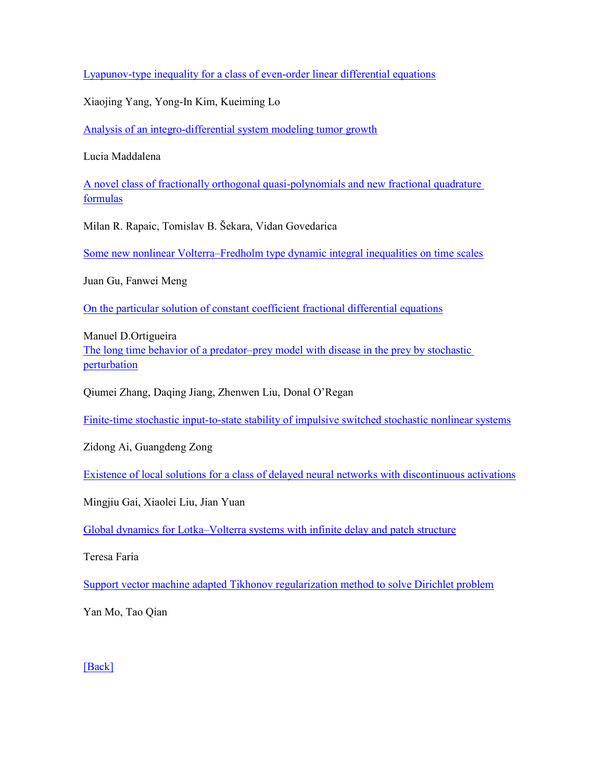[Lyapunov-type inequality for a class of even-order linear differential equations](http://www.sciencedirect.com/science/article/pii/S0096300314010492)

Xiaojing Yang, Yong-In Kim, Kueiming Lo

[Analysis of an integro-differential system modeling tumor growth](http://www.sciencedirect.com/science/article/pii/S0096300314010388)

Lucia Maddalena

[A novel class of fractionally orthogonal quasi-polynomials and new fractional quadrature](http://www.sciencedirect.com/science/article/pii/S0096300314010480)  [formulas](http://www.sciencedirect.com/science/article/pii/S0096300314010480)

Milan R. Rapaic, Tomislav B. Šekara, Vidan Govedarica

Some new nonlinear Volterra–[Fredholm type dynamic integral inequalities on time scales](http://www.sciencedirect.com/science/article/pii/S0096300314010133)

Juan Gu, Fanwei Meng

[On the particular solution of constant coefficient fractional differential equations](http://www.sciencedirect.com/science/article/pii/S0096300314010273)

Manuel D.Ortigueir[a](http://www.sciencedirect.com/science/article/pii/S100757041400207X)

The long time behavior of a predator–[prey model with disease in the prey by stochastic](http://www.sciencedirect.com/science/article/pii/S100757041400207X)  [perturbation](http://www.sciencedirect.com/science/article/pii/S100757041400207X)

Qiumei Zhang, Daqing Jiang, Zhenwen Liu, Donal O'Regan

[Finite-time stochastic input-to-state stability of impulsive switched stochastic nonlinear systems](http://www.sciencedirect.com/science/article/pii/S0096300314010595)

Zidong Ai, Guangdeng Zong

[Existence of local solutions for a class of delayed neural networks with discontinuous activations](http://www.sciencedirect.com/science/article/pii/S0096300314008613)

Mingjiu Gai, Xiaolei Liu, Jian Yuan

Global dynamics for Lotka–[Volterra systems with infinite delay and patch structure](http://www.sciencedirect.com/science/article/pii/S0096300314011035)

Teresa Faria

[Support vector machine adapted Tikhonov regularization method to solve Dirichlet problem](http://www.sciencedirect.com/science/article/pii/S009630031401056X)

Yan Mo, Tao Qian

[\[Back\]](file:///C:/Users/Administrator/AppData/Local/Microsoft/Windows/Temporary%20Internet%20Files/FrontPageTempDir/pvw2.htm%231)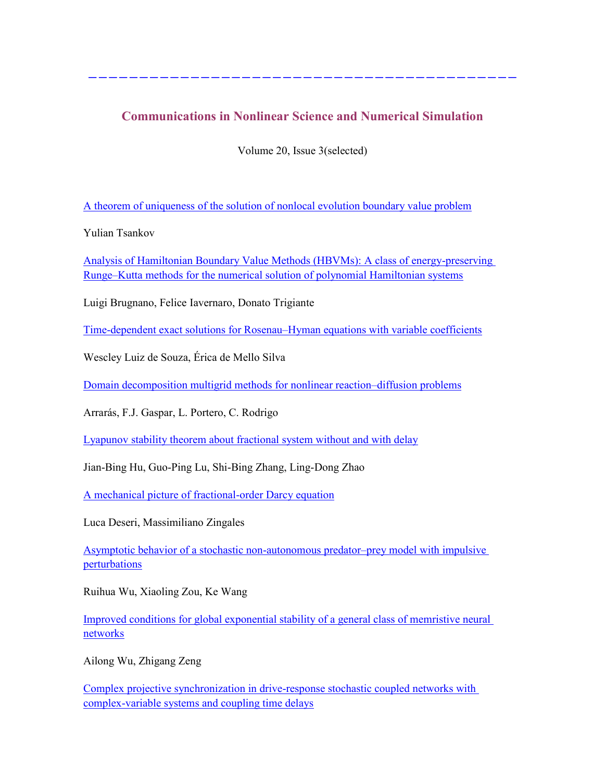# **Communications in Nonlinear Science and Numerical Simulation**

------------------------------------------

Volume 20, Issue 3(selected)

[A theorem of uniqueness of the solution of nonlocal evolution boundary value problem](http://link.springer.com/article/10.2478/s13540-014-0208-y)

Yulian Tsankov

[Analysis of Hamiltonian Boundary Value Methods \(HBVMs\): A class of energy-preserving](http://www.sciencedirect.com/science/article/pii/S1007570414002706)  Runge–[Kutta methods for the numerical solution of polynomial Hamiltonian systems](http://www.sciencedirect.com/science/article/pii/S1007570414002706)

Luigi Brugnano, Felice Iavernaro, Donato Trigiante

[Time-dependent exact solutions for Rosenau](http://www.sciencedirect.com/science/article/pii/S1007570414002810)–Hyman equations with variable coefficients

Wescley Luiz de Souza, Érica de Mello Silva

[Domain decomposition multigrid methods for nonlinear reaction](http://www.sciencedirect.com/science/article/pii/S1007570414003074)–diffusion problems

Arrarás, F.J. Gaspar, L. Portero, C. Rodrigo

[Lyapunov stability theorem about fractional system without and with delay](http://www.sciencedirect.com/science/article/pii/S1007570414002196)

Jian-Bing Hu, Guo-Ping Lu, Shi-Bing Zhang, Ling-Dong Zhao

[A mechanical picture of fractional-order Darcy equation](http://www.sciencedirect.com/science/article/pii/S1007570414002846)

Luca Deseri, Massimiliano Zingales

[Asymptotic behavior of a stochastic non-autonomous predator](http://www.sciencedirect.com/science/article/pii/S100757041400286X)–prey model with impulsive [perturbations](http://www.sciencedirect.com/science/article/pii/S100757041400286X)

Ruihua Wu, Xiaoling Zou, Ke Wang

[Improved conditions for global exponential stability of a general class of memristive neural](http://www.sciencedirect.com/science/article/pii/S1007570414002925)  [networks](http://www.sciencedirect.com/science/article/pii/S1007570414002925)

Ailong Wu, Zhigang Zeng

[Complex projective synchronization in drive-response stochastic coupled networks with](http://www.sciencedirect.com/science/article/pii/S1007570414003177)  [complex-variable systems and coupling time delays](http://www.sciencedirect.com/science/article/pii/S1007570414003177)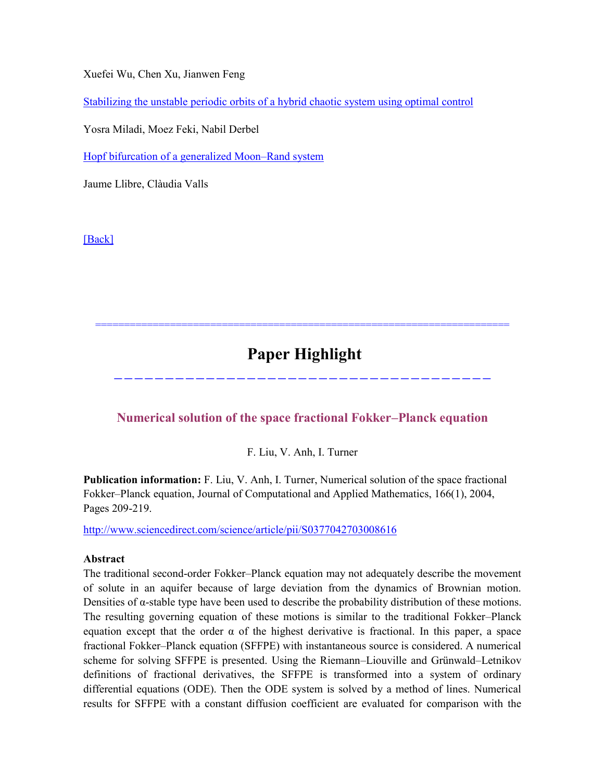Xuefei Wu, Chen Xu, Jianwen Feng

[Stabilizing the unstable periodic orbits of a hybrid chaotic system using optimal control](http://www.sciencedirect.com/science/article/pii/S0960077914001015)

Yosra Miladi, Moez Feki, Nabil Derbel

[Hopf bifurcation of a generalized Moon](http://www.sciencedirect.com/science/article/pii/S1007570414003049)–Rand system

Jaume Llibre, Clàudia Valls

[\[Back\]](file:///C:/Users/Administrator/AppData/Local/Microsoft/Windows/Temporary%20Internet%20Files/FrontPageTempDir/pvw2.htm%231)

# **Paper Highlight**

========================================================================

**Numerical solution of the space fractional Fokker–Planck equation**

-------------------------------------

F. Liu, V. Anh, I. Turner

**Publication information:** F. Liu, V. Anh, I. Turner, Numerical solution of the space fractional Fokker–Planck equation, Journal of Computational and Applied Mathematics, 166(1), 2004, Pages 209-219.

<http://www.sciencedirect.com/science/article/pii/S0377042703008616>

#### **Abstract**

The traditional second-order Fokker–Planck equation may not adequately describe the movement of solute in an aquifer because of large deviation from the dynamics of Brownian motion. Densities of α-stable type have been used to describe the probability distribution of these motions. The resulting governing equation of these motions is similar to the traditional Fokker–Planck equation except that the order  $\alpha$  of the highest derivative is fractional. In this paper, a space fractional Fokker–Planck equation (SFFPE) with instantaneous source is considered. A numerical scheme for solving SFFPE is presented. Using the Riemann–Liouville and Grünwald–Letnikov definitions of fractional derivatives, the SFFPE is transformed into a system of ordinary differential equations (ODE). Then the ODE system is solved by a method of lines. Numerical results for SFFPE with a constant diffusion coefficient are evaluated for comparison with the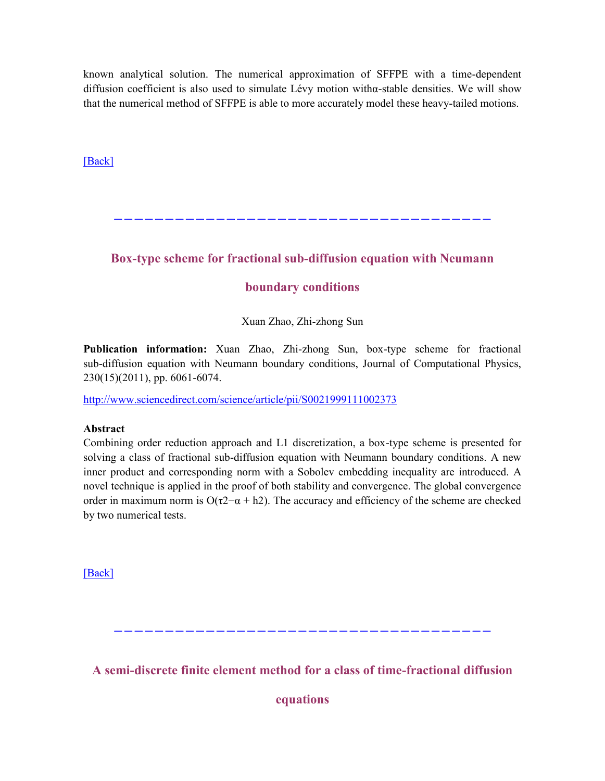known analytical solution. The numerical approximation of SFFPE with a time-dependent diffusion coefficient is also used to simulate Lévy motion withα-stable densities. We will show that the numerical method of SFFPE is able to more accurately model these heavy-tailed motions.

[\[Back\]](file:///C:/Users/Administrator/AppData/Local/Microsoft/Windows/Temporary%20Internet%20Files/FrontPageTempDir/pvw2.htm%231)

**Box-type scheme for fractional sub-diffusion equation with Neumann** 

-------------------------------------

## **boundary conditions**

Xuan Zhao, Zhi-zhong Sun

**Publication information:** Xuan Zhao, Zhi-zhong Sun, box-type scheme for fractional sub-diffusion equation with Neumann boundary conditions, Journal of Computational Physics, 230(15)(2011), pp. 6061-6074.

<http://www.sciencedirect.com/science/article/pii/S0021999111002373>

#### **Abstract**

Combining order reduction approach and L1 discretization, a box-type scheme is presented for solving a class of fractional sub-diffusion equation with Neumann boundary conditions. A new inner product and corresponding norm with a Sobolev embedding inequality are introduced. A novel technique is applied in the proof of both stability and convergence. The global convergence order in maximum norm is  $O(\tau^2 - \alpha + h^2)$ . The accuracy and efficiency of the scheme are checked by two numerical tests.

[\[Back\]](file:///C:/Users/Administrator/AppData/Local/Microsoft/Windows/Temporary%20Internet%20Files/FrontPageTempDir/pvw2.htm%231)

**A semi-discrete finite element method for a class of time-fractional diffusion** 

-------------------------------------

**equations**